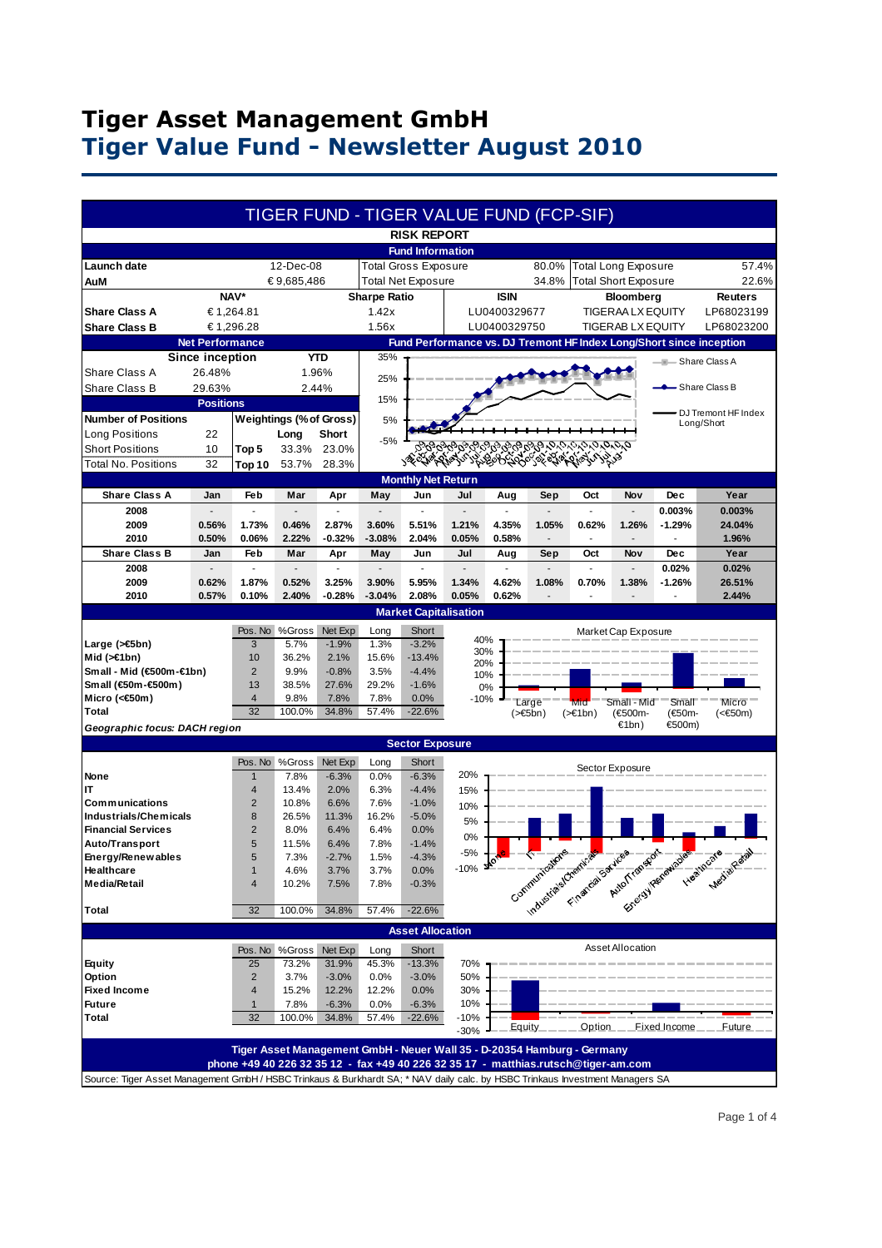## **Tiger Asset Management GmbH Tiger Value Fund - Newsletter August 2010**

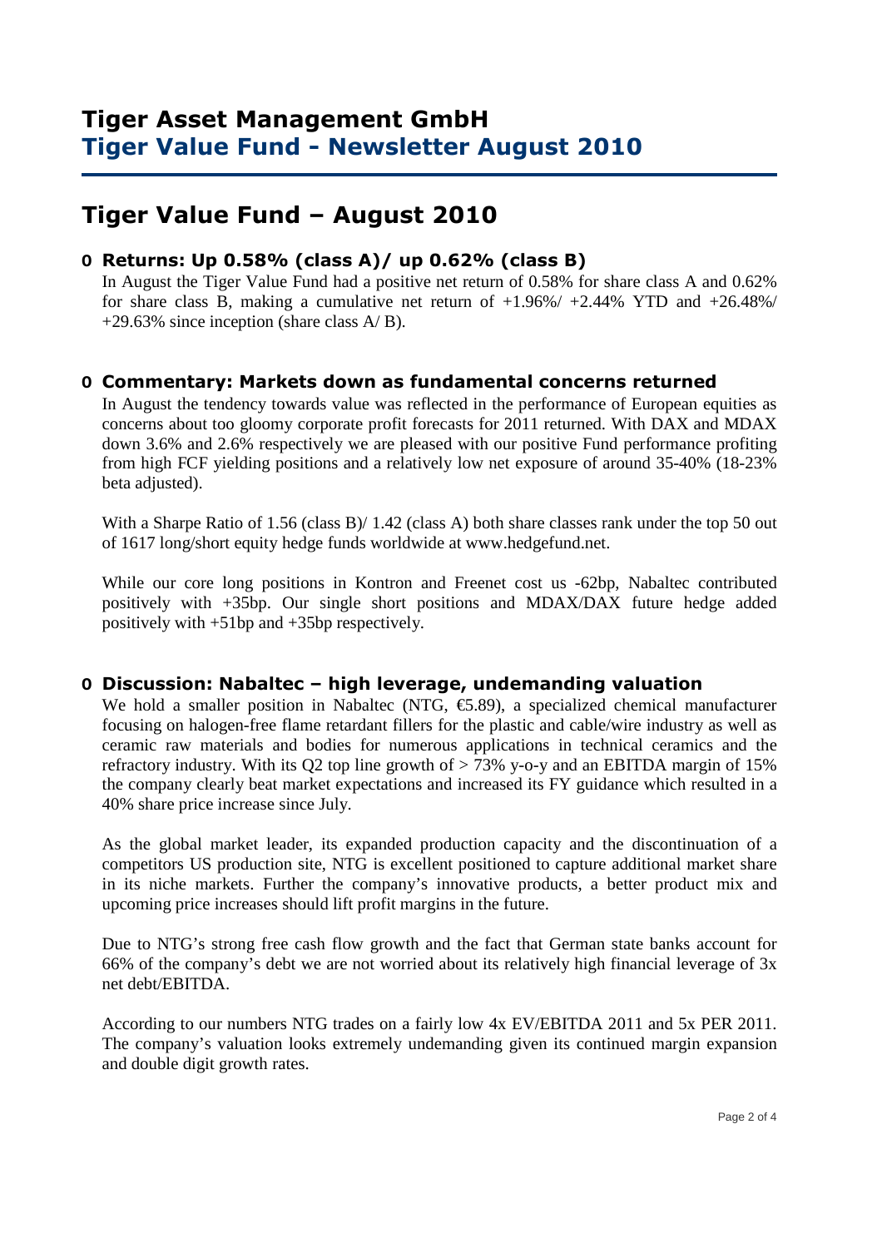# **Tiger Value Fund – August 2010**

#### **O Returns: Up 0.58% (class A)/ up 0.62% (class B)**

 In August the Tiger Value Fund had a positive net return of 0.58% for share class A and 0.62% for share class B, making a cumulative net return of  $+1.96\% / +2.44\%$  YTD and  $+26.48\% /$  $+29.63\%$  since inception (share class A/B).

#### **O Commentary: Markets down as fundamental concerns returned**

In August the tendency towards value was reflected in the performance of European equities as concerns about too gloomy corporate profit forecasts for 2011 returned. With DAX and MDAX down 3.6% and 2.6% respectively we are pleased with our positive Fund performance profiting from high FCF yielding positions and a relatively low net exposure of around 35-40% (18-23% beta adjusted).

With a Sharpe Ratio of 1.56 (class B)/ 1.42 (class A) both share classes rank under the top 50 out of 1617 long/short equity hedge funds worldwide at www.hedgefund.net.

While our core long positions in Kontron and Freenet cost us -62bp, Nabaltec contributed positively with +35bp. Our single short positions and MDAX/DAX future hedge added positively with +51bp and +35bp respectively.

#### **O Discussion: Nabaltec – high leverage, undemanding valuation**

We hold a smaller position in Nabaltec (NTG,  $\epsilon$ 5.89), a specialized chemical manufacturer focusing on halogen-free flame retardant fillers for the plastic and cable/wire industry as well as ceramic raw materials and bodies for numerous applications in technical ceramics and the refractory industry. With its Q2 top line growth of  $> 73\%$  y-o-y and an EBITDA margin of 15% the company clearly beat market expectations and increased its FY guidance which resulted in a 40% share price increase since July.

As the global market leader, its expanded production capacity and the discontinuation of a competitors US production site, NTG is excellent positioned to capture additional market share in its niche markets. Further the company's innovative products, a better product mix and upcoming price increases should lift profit margins in the future.

Due to NTG's strong free cash flow growth and the fact that German state banks account for 66% of the company's debt we are not worried about its relatively high financial leverage of 3x net debt/EBITDA.

According to our numbers NTG trades on a fairly low 4x EV/EBITDA 2011 and 5x PER 2011. The company's valuation looks extremely undemanding given its continued margin expansion and double digit growth rates.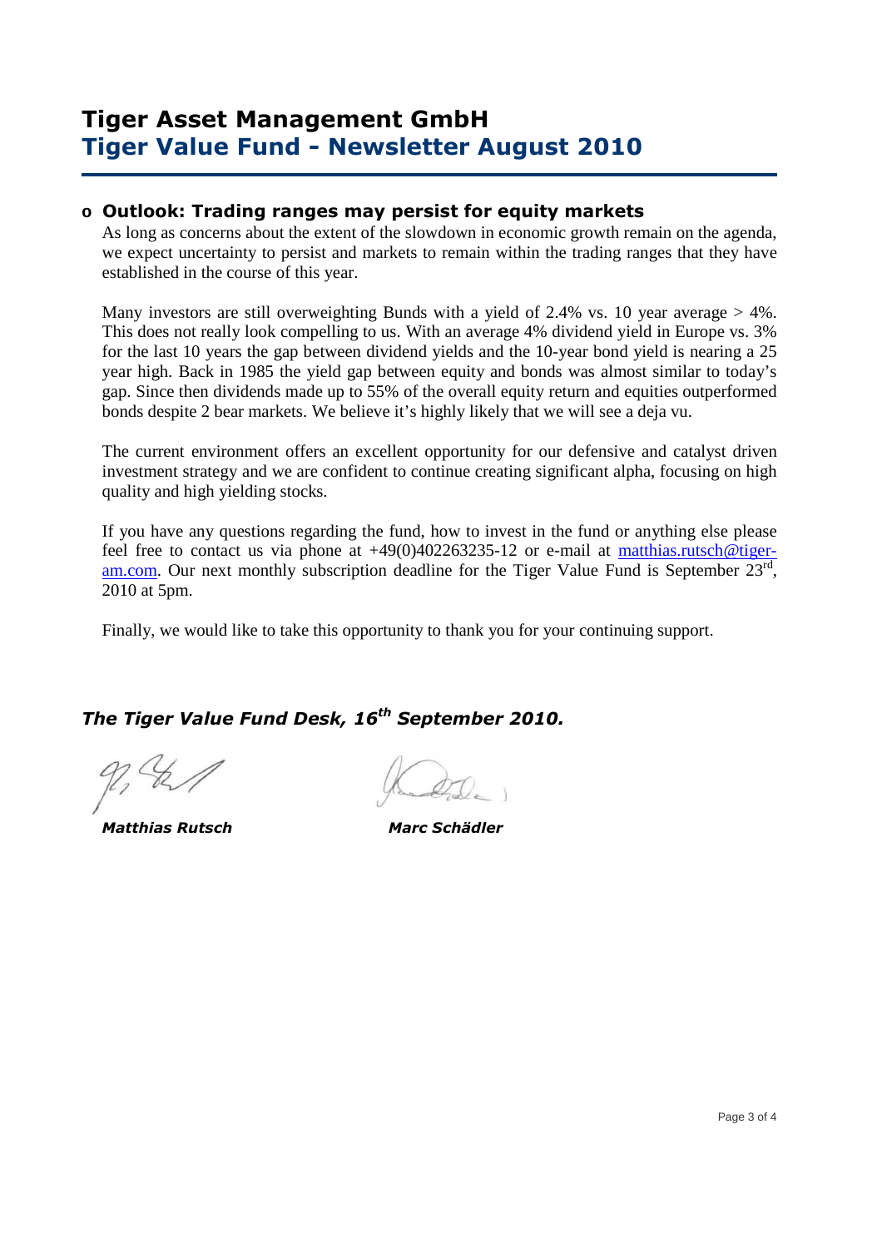## **Tiger Asset Management GmbH Tiger Value Fund - Newsletter August 2010**

#### **o Outlook: Trading ranges may persist for equity markets**

As long as concerns about the extent of the slowdown in economic growth remain on the agenda, we expect uncertainty to persist and markets to remain within the trading ranges that they have established in the course of this year.

Many investors are still overweighting Bunds with a yield of 2.4% vs. 10 year average  $> 4\%$ . This does not really look compelling to us. With an average 4% dividend yield in Europe vs. 3% for the last 10 years the gap between dividend yields and the 10-year bond yield is nearing a 25 year high. Back in 1985 the yield gap between equity and bonds was almost similar to today's gap. Since then dividends made up to 55% of the overall equity return and equities outperformed bonds despite 2 bear markets. We believe it's highly likely that we will see a deja vu.

The current environment offers an excellent opportunity for our defensive and catalyst driven investment strategy and we are confident to continue creating significant alpha, focusing on high quality and high yielding stocks.

If you have any questions regarding the fund, how to invest in the fund or anything else please feel free to contact us via phone at  $+49(0)402263235-12$  or e-mail at matthias.rutsch@tigeram.com. Our next monthly subscription deadline for the Tiger Value Fund is September  $23^{rd}$ , 2010 at 5pm.

Finally, we would like to take this opportunity to thank you for your continuing support.

### *The Tiger Value Fund Desk, 16th September 2010.*

 *Matthias Rutsch Marc Schädler*